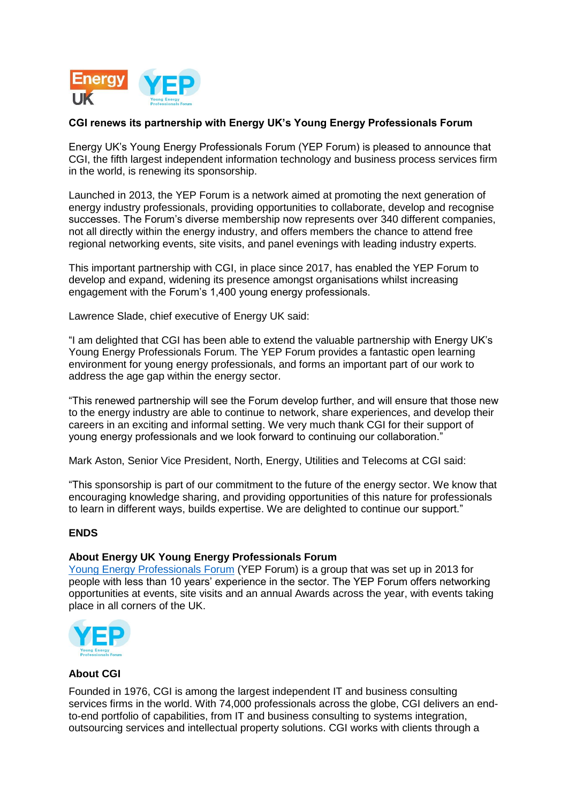

## **CGI renews its partnership with Energy UK's Young Energy Professionals Forum**

Energy UK's Young Energy Professionals Forum (YEP Forum) is pleased to announce that CGI, the fifth largest independent information technology and business process services firm in the world, is renewing its sponsorship.

Launched in 2013, the YEP Forum is a network aimed at promoting the next generation of energy industry professionals, providing opportunities to collaborate, develop and recognise successes. The Forum's diverse membership now represents over 340 different companies, not all directly within the energy industry, and offers members the chance to attend free regional networking events, site visits, and panel evenings with leading industry experts.

This important partnership with CGI, in place since 2017, has enabled the YEP Forum to develop and expand, widening its presence amongst organisations whilst increasing engagement with the Forum's 1,400 young energy professionals.

Lawrence Slade, chief executive of Energy UK said:

"I am delighted that CGI has been able to extend the valuable partnership with Energy UK's Young Energy Professionals Forum. The YEP Forum provides a fantastic open learning environment for young energy professionals, and forms an important part of our work to address the age gap within the energy sector.

"This renewed partnership will see the Forum develop further, and will ensure that those new to the energy industry are able to continue to network, share experiences, and develop their careers in an exciting and informal setting. We very much thank CGI for their support of young energy professionals and we look forward to continuing our collaboration."

Mark Aston, Senior Vice President, North, Energy, Utilities and Telecoms at CGI said:

"This sponsorship is part of our commitment to the future of the energy sector. We know that encouraging knowledge sharing, and providing opportunities of this nature for professionals to learn in different ways, builds expertise. We are delighted to continue our support."

## **ENDS**

## **About Energy UK Young Energy Professionals Forum**

[Young Energy Professionals Forum](https://www.energy-uk.org.uk/about-us/young-energy-professionals-forum.html) (YEP Forum) is a group that was set up in 2013 for people with less than 10 years' experience in the sector. The YEP Forum offers networking opportunities at events, site visits and an annual Awards across the year, with events taking place in all corners of the UK.



## **About CGI**

Founded in 1976, CGI is among the largest independent IT and business consulting services firms in the world. With 74,000 professionals across the globe, CGI delivers an endto-end portfolio of capabilities, from IT and business consulting to systems integration, outsourcing services and intellectual property solutions. CGI works with clients through a